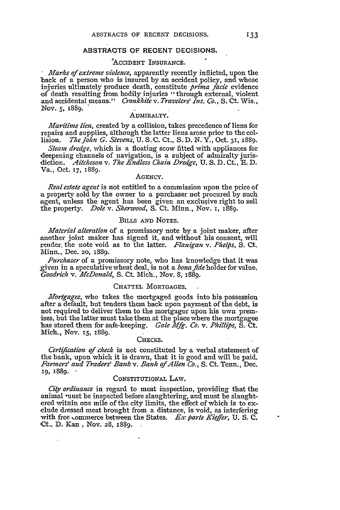# **ABSTRACTS OF RECENT DECISIONS.**

### **'ACCIDENT INSURANCE.**

*Marks of extreme violence,* apparently recently inflicted, upon the back of a person who is insured by an accident policy, and whose injuries ultimately produce death, constitute *prima fade* evidence of death resulting from bodily injuries "through external, violent and accidental means." *Cronkhite v. Travelers' Ins. Co.,* S. Ct. Wis., *Nov. 5, 1889.*

## ADMIRALTY.

*Maritime lien,* created by a collision, takes precedence of liens for repairs and supplies, although the latter liens arose prior to the col-<br>lision, The John G. Stevens, U. S. C. Ct., S. D. N. Y., Oct. 31, 1889. lision. *ThzeJohin G. Stevens, U.* S.C. Ct., S.D. N. Y., Oct. 31, 1889.

*Steam dredge,* which is a floating scow fitted with appliances for deepening channels of navigation, is a subject of admiralty jurisdiction. *Aitlcheson v. The Endless Chain Dredge,* U. S. D. Ct., **R.** D. Va., Oct. **17,** 1889.

#### **AGENCY.**

*Real estate agent* is not entitled to a commission upon the price of a property sold by the owner to a purchaser not procured by such agent, unless the agent has been given an exclusive right to sell the property. *Dole v. Sherwood, S.* Ct. Minn., Nov. **i, 1889.**

### BILLS **AND NOTES.**

*Material alteration* of a promissory note by a joint maker, after another joint maker has signed it, and without his consent, will render, the note void as to the latter. *Flanigan v. Phelps*, S. Ct. Minn., Dec. **20,** 1889.

*Purchaser* of a promissory note, who has knowledge that it was given in a speculative wheat deal, is not a *bona fide* holder for value. *Goodrich v. McDonald,* S. Ct. Mich., Nov. 8, 1889.

# **CHATTEL** MORTGAGES.

*Morgagee,* who takes the mortgaged goods into his possession after a default, but tenders them back upon payment of the debt, is not required to deliver them to the mortgagor upon his own premises, but the latter must take them at the place where the mortgagee has stored them for safe-keeping. *Gale Mfg. Co. v. Phillips*, S. Ct. Mich., Nov. **15,** 1889.

#### **CHECKS.**

*Certification of check* is not constituted by a verbal statement of the bank, upon which it is drawn, that it is good and will be paid. *Famners' and Traders' Bank v. Bank of Allen Co.,* S. Ct. Tenn., Dec. **19,** 1889. **-**

#### **CONSTITUTIONAL** LAW.

*City ordinance* in regard to meat inspection, providing that the animal must be inspected before slaughtering, and must be slaughtered within one mile of the city limits, the effect of which is to ex- clude dressed meat brought from a distance, is void, as interfering with free commerce between the States. *Ex parte Kieffer*, U. S. C. Ct., D. Kan , Nov. 28, 1889.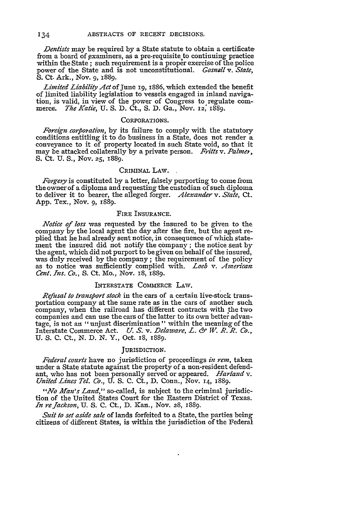*Dentists* may be required by a State statute to obtain a certificate from a board of examiners, as a pre-requisite to continuing practice within the State ; such requirement is a proper exercise of the police power of the State and is not unconstitutional. *Gosnall v. State,* **S.** Ct. Ark., Nov. 9, 1889.

*Limited Liability Act* of June 19, 1886, which extended the benefit of limited liability legislation to vessels engaged in inland navigation, is valid, in view of the power of Congress to regulate com- merce. *The Katie,* U. S. D. Ct., S. D. Ga., Nov. **12;** 1889.

### CORPORATIONS.

*Foreign corporation*, by its failure to comply with the statutory conditions entitling it to do business in a State, does not render a conveyance to it of property located in such State void, so that it may be attacked collaterally by a private person. *Fritts v. Pahner,* S. Ct. U. S., Nov. **25,** 1889.

# CRImiNAL LAw.

*Forgery* is constituted by a letter, falsely purporting to come from the owner of a diploma and requesting the custodian of such diploma to deliver it to bearer, the alleged forger. *Alexander v. State, Ct.* App. Tex., Nov. 9, 1889.

## FIRE **INSURANCE.**

*Notice of loss* was requested **by** the insured to be given to the company by the local agent the day after the fire, but the agent re- plied that he had already sent notice, in consequence of which statement the insured did not notify the company ; the notice sent by the agent, which did not purport to be given on behalf of the insured, was duly received by the company; the requirement of the policy as to notice was sufficiently complied with. *Loeb v. American: Cent. Ins. Co.,* S. Ct. Mo., Nov. 18, 1889.

### INTERSTATE COMMERCE LAW.

*Refusal to transpiort stock* in the cars of a certain live-stock transportation company at the same rate as in the cars of another such company, when the railroad has different contracts with the two companies and can use the cars of the latter to its own better advantage, is not an "unjust discrimination" within the meaning of the Interstate Commerce Act. *U. S.* v. *Delaware, L. & W. R. R. Co.,* U. S. C. Ct., N. D. N. Y., Oct. r8, 1889.

### JURISDICTION.

Federal courts have no jurisdiction of proceedings *in rem*, taken under a State statute against the property of a non-resident defendant, who has not been personally served or appeared. *Harland v. United Lines Tel. Co.,* U. S. C. Ct., D. Conn., Nov. **14,** 1889.

*"No Aan's Land,"* so-called, is subject to the criminal jurisdiction of the United States Court for the Eastern District of Texas. *In refackson,* U. S. C. Ct., D. Kan., Nov. **28,** 1889.

*Suit to set aside sale* of lands forfeited to a State, the parties being citizens of different States, is within the jurisdiction of the Federal

134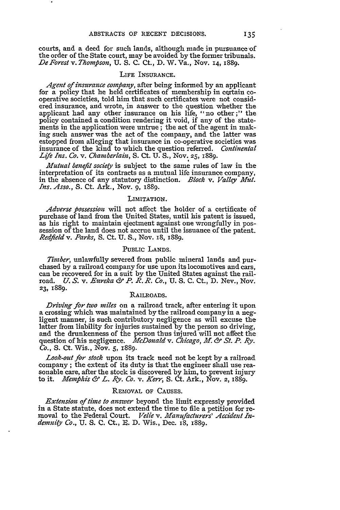courts, and a deed for such lands, although made in pursuance of the order of the State court, may be avoided by the former tribunals. *De Forest v. Thompson,* U. S. C. Ct., D. W. Va., Nov. 14, 1889.

#### LIFE INSURANCE.

*Agent of insurance company,* after being informed **by** an applicant for a policy that he held certificates of membership in certain co- operative societies, told him that such certificates were not considered insurance, and wrote, in answer to the question whether the applicant had any other insurance on his life, "no other;" the policy contained a condition rendering it void, if any of the statements in the application were untrue; the act of the agent in making such answer was the act of the company, and the latter was insurance of the kind to which the question referred. *Continental Life Ins. Co. v. Chamberlain,* S. Ct. U. S., Nov. **25,** 1889.

*Mutual benefit society* is subject to the same rules of law in the interpretation of its contracts as a mutual life insurance company, in the absence of any statutory distinction. *Block v. Valley Mitt. Ins. Asso.,* **S.** Ct. Ark., Nov. 9, 1889.

## LIMITATION.

*Adverse possession* will not affect the holder of a certificate of purchase of land from the United States, until his patent is issued, as his right to maintain ejectment against one wrongfully in possession of the land does not accrue until the issuance of the patent. *Redfleld v. Parks,* S. Ct. **U. S.,** Nov. 18, 1889.

# PUBLIC LANDS.

*Timber,* unlawfully severed from public mineral lands and purchased by a railroad company for use upon its locomotives and cars, can be recovered for in a suit by the United States against the railroad. *U. S.* v. *Eureka &" P. R. R. Co.,* U. S. C. Ct., D. Nev., Nov. **23,** 1889.

# RAILROADS.

*Driving for two miles* on a railroad track, after entering it upon a crossing which was maintained by the railroad company in a negligent manner, is such contributory negligence as will excuse the latter from liability for injuries sustained by the person so driving, and the drunkenness of the person thus injured will not affect the question of his negligence. *McDonald v. Chicago, ff. &" St. P. Ry. Co.,* **S.** Ct. Wis., Nov. **5,** 1889.

*Look-out for stock* upon its track need not be kept by a railroad sonable care, after the stock is discovered by him, to prevent injury to it. *Memphis & L. Ry. Co.* v. *Kerr,* **S.** Ct. Ark., Nov. 2, 1889.

# REMOVAL OF CAUSES.

*Extension of time to answer* beyond the limit expressly provided in a State statute, does not extend the time to file a petition for re- moval to the Federal Court. *Velie v. Manufacturers' Accident Indemnity Co.,* U. S. C. Ct., E. D. Wis., Dec. i8, 1889.